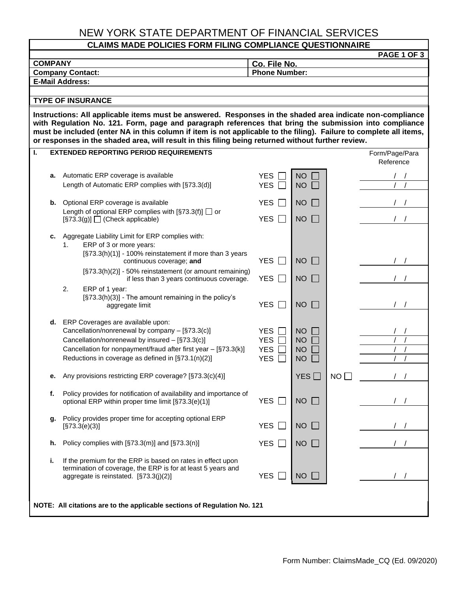## NEW YORK STATE DEPARTMENT OF FINANCIAL SERVICES

### **CLAIMS MADE POLICIES FORM FILING COMPLIANCE QUESTIONNAIRE**

| <b>PAGE 1 OF 3</b>                                                                                                                                                                                                                                                                                                                                                                                                                              |    |                                                                                                                                                                                                                                                                     |                                                      |                                                  |           |                             |  |  |
|-------------------------------------------------------------------------------------------------------------------------------------------------------------------------------------------------------------------------------------------------------------------------------------------------------------------------------------------------------------------------------------------------------------------------------------------------|----|---------------------------------------------------------------------------------------------------------------------------------------------------------------------------------------------------------------------------------------------------------------------|------------------------------------------------------|--------------------------------------------------|-----------|-----------------------------|--|--|
| <b>COMPANY</b><br><b>Company Contact:</b>                                                                                                                                                                                                                                                                                                                                                                                                       |    |                                                                                                                                                                                                                                                                     | Co. File No.<br><b>Phone Number:</b>                 |                                                  |           |                             |  |  |
| <b>E-Mail Address:</b>                                                                                                                                                                                                                                                                                                                                                                                                                          |    |                                                                                                                                                                                                                                                                     |                                                      |                                                  |           |                             |  |  |
|                                                                                                                                                                                                                                                                                                                                                                                                                                                 |    |                                                                                                                                                                                                                                                                     |                                                      |                                                  |           |                             |  |  |
| <b>TYPE OF INSURANCE</b>                                                                                                                                                                                                                                                                                                                                                                                                                        |    |                                                                                                                                                                                                                                                                     |                                                      |                                                  |           |                             |  |  |
| Instructions: All applicable items must be answered. Responses in the shaded area indicate non-compliance<br>with Regulation No. 121. Form, page and paragraph references that bring the submission into compliance<br>must be included (enter NA in this column if item is not applicable to the filing). Failure to complete all items,<br>or responses in the shaded area, will result in this filing being returned without further review. |    |                                                                                                                                                                                                                                                                     |                                                      |                                                  |           |                             |  |  |
| L.                                                                                                                                                                                                                                                                                                                                                                                                                                              |    | <b>EXTENDED REPORTING PERIOD REQUIREMENTS</b>                                                                                                                                                                                                                       |                                                      |                                                  |           | Form/Page/Para<br>Reference |  |  |
|                                                                                                                                                                                                                                                                                                                                                                                                                                                 |    | a. Automatic ERP coverage is available<br>Length of Automatic ERP complies with [§73.3(d)]                                                                                                                                                                          | <b>YES</b><br><b>YES</b>                             | <b>NO</b><br><b>NO</b>                           |           |                             |  |  |
|                                                                                                                                                                                                                                                                                                                                                                                                                                                 | b. | Optional ERP coverage is available                                                                                                                                                                                                                                  | <b>YES</b>                                           | <b>NO</b>                                        |           |                             |  |  |
|                                                                                                                                                                                                                                                                                                                                                                                                                                                 |    | Length of optional ERP complies with $\S$ 73.3(f)] $\Box$ or<br>$\lceil$ §73.3(g)] $\Box$ (Check applicable)                                                                                                                                                        | <b>YES</b>                                           | <b>NO</b>                                        |           |                             |  |  |
|                                                                                                                                                                                                                                                                                                                                                                                                                                                 | c. | Aggregate Liability Limit for ERP complies with:<br>ERP of 3 or more years:<br>1.<br>[§73.3(h)(1)] - 100% reinstatement if more than 3 years<br>continuous coverage; and                                                                                            | <b>YES</b>                                           | <b>NO</b>                                        |           |                             |  |  |
|                                                                                                                                                                                                                                                                                                                                                                                                                                                 |    | [§73.3(h)(2)] - 50% reinstatement (or amount remaining)<br>if less than 3 years continuous coverage.                                                                                                                                                                | <b>YES</b><br>$\mathbf{I}$                           | <b>NO</b>                                        |           |                             |  |  |
|                                                                                                                                                                                                                                                                                                                                                                                                                                                 |    | 2.<br>ERP of 1 year:<br>[§73.3(h)(3)] - The amount remaining in the policy's<br>aggregate limit                                                                                                                                                                     | <b>YES</b>                                           | <b>NO</b>                                        |           |                             |  |  |
|                                                                                                                                                                                                                                                                                                                                                                                                                                                 |    | d. ERP Coverages are available upon:<br>Cancellation/nonrenewal by company - [§73.3(c)]<br>Cancellation/nonrenewal by insured - [§73.3(c)]<br>Cancellation for nonpayment/fraud after first year - [§73.3(k)]<br>Reductions in coverage as defined in [§73.1(n)(2)] | <b>YES</b><br><b>YES</b><br><b>YES</b><br><b>YES</b> | <b>NO</b><br><b>NO</b><br><b>NO</b><br><b>NO</b> |           |                             |  |  |
|                                                                                                                                                                                                                                                                                                                                                                                                                                                 | е. | Any provisions restricting ERP coverage? [§73.3(c)(4)]                                                                                                                                                                                                              |                                                      | YES <sup>[</sup>                                 | <b>NO</b> |                             |  |  |
|                                                                                                                                                                                                                                                                                                                                                                                                                                                 | f. | Policy provides for notification of availability and importance of<br>optional ERP within proper time limit [§73.3(e)(1)]                                                                                                                                           | <b>YES</b>                                           | <b>NO</b>                                        |           |                             |  |  |
|                                                                                                                                                                                                                                                                                                                                                                                                                                                 | g. | Policy provides proper time for accepting optional ERP<br>[§73.3(e)(3)]                                                                                                                                                                                             | <b>YES</b>                                           | <b>NO</b>                                        |           |                             |  |  |
|                                                                                                                                                                                                                                                                                                                                                                                                                                                 | h. | Policy complies with $[\S 73.3(m)]$ and $[\S 73.3(n)]$                                                                                                                                                                                                              | <b>YES</b><br>$\mathbf{I}$                           | <b>NO</b>                                        |           |                             |  |  |
|                                                                                                                                                                                                                                                                                                                                                                                                                                                 | i. | If the premium for the ERP is based on rates in effect upon<br>termination of coverage, the ERP is for at least 5 years and<br>aggregate is reinstated. [§73.3(j)(2)]                                                                                               | <b>YES</b>                                           | <b>NO</b>                                        |           |                             |  |  |
| NOTE: All citations are to the applicable sections of Regulation No. 121                                                                                                                                                                                                                                                                                                                                                                        |    |                                                                                                                                                                                                                                                                     |                                                      |                                                  |           |                             |  |  |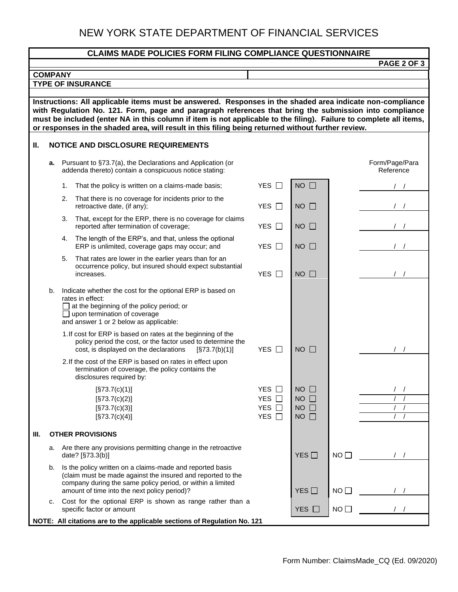# NEW YORK STATE DEPARTMENT OF FINANCIAL SERVICES

| <b>CLAIMS MADE POLICIES FORM FILING COMPLIANCE QUESTIONNAIRE</b>                                                                                                                                                                                                                                                                                                                                                                                |                                                                          |    |                                                                                                                                                                                                                                        |                                            |                                                          |             |                             |  |
|-------------------------------------------------------------------------------------------------------------------------------------------------------------------------------------------------------------------------------------------------------------------------------------------------------------------------------------------------------------------------------------------------------------------------------------------------|--------------------------------------------------------------------------|----|----------------------------------------------------------------------------------------------------------------------------------------------------------------------------------------------------------------------------------------|--------------------------------------------|----------------------------------------------------------|-------------|-----------------------------|--|
| <b>PAGE 2 OF 3</b>                                                                                                                                                                                                                                                                                                                                                                                                                              |                                                                          |    |                                                                                                                                                                                                                                        |                                            |                                                          |             |                             |  |
| <b>COMPANY</b><br><b>TYPE OF INSURANCE</b>                                                                                                                                                                                                                                                                                                                                                                                                      |                                                                          |    |                                                                                                                                                                                                                                        |                                            |                                                          |             |                             |  |
|                                                                                                                                                                                                                                                                                                                                                                                                                                                 |                                                                          |    |                                                                                                                                                                                                                                        |                                            |                                                          |             |                             |  |
| Instructions: All applicable items must be answered. Responses in the shaded area indicate non-compliance<br>with Regulation No. 121. Form, page and paragraph references that bring the submission into compliance<br>must be included (enter NA in this column if item is not applicable to the filing). Failure to complete all items,<br>or responses in the shaded area, will result in this filing being returned without further review. |                                                                          |    |                                                                                                                                                                                                                                        |                                            |                                                          |             |                             |  |
| II.                                                                                                                                                                                                                                                                                                                                                                                                                                             |                                                                          |    | <b>NOTICE AND DISCLOSURE REQUIREMENTS</b>                                                                                                                                                                                              |                                            |                                                          |             |                             |  |
|                                                                                                                                                                                                                                                                                                                                                                                                                                                 |                                                                          |    | a. Pursuant to §73.7(a), the Declarations and Application (or<br>addenda thereto) contain a conspicuous notice stating:                                                                                                                |                                            |                                                          |             | Form/Page/Para<br>Reference |  |
|                                                                                                                                                                                                                                                                                                                                                                                                                                                 |                                                                          | 1. | That the policy is written on a claims-made basis;                                                                                                                                                                                     | YES $\Box$                                 | $NO$ $\Box$                                              |             |                             |  |
|                                                                                                                                                                                                                                                                                                                                                                                                                                                 |                                                                          | 2. | That there is no coverage for incidents prior to the<br>retroactive date, (if any);                                                                                                                                                    | YES $\Box$                                 | $NO$ $\Box$                                              |             |                             |  |
|                                                                                                                                                                                                                                                                                                                                                                                                                                                 |                                                                          | 3. | That, except for the ERP, there is no coverage for claims<br>reported after termination of coverage;                                                                                                                                   | YES □                                      | $NO$ $\Box$                                              |             |                             |  |
|                                                                                                                                                                                                                                                                                                                                                                                                                                                 |                                                                          |    | 4. The length of the ERP's, and that, unless the optional<br>ERP is unlimited, coverage gaps may occur; and                                                                                                                            | YES $\Box$                                 | $NO$ $\Box$                                              |             |                             |  |
|                                                                                                                                                                                                                                                                                                                                                                                                                                                 |                                                                          | 5. | That rates are lower in the earlier years than for an<br>occurrence policy, but insured should expect substantial<br>increases.                                                                                                        | YES $\Box$                                 | $NO$ $\Box$                                              |             |                             |  |
|                                                                                                                                                                                                                                                                                                                                                                                                                                                 | b.                                                                       |    | Indicate whether the cost for the optional ERP is based on<br>rates in effect:<br>$\Box$ at the beginning of the policy period; or<br>$\Box$ upon termination of coverage<br>and answer 1 or 2 below as applicable:                    |                                            |                                                          |             |                             |  |
|                                                                                                                                                                                                                                                                                                                                                                                                                                                 |                                                                          |    | 1. If cost for ERP is based on rates at the beginning of the<br>policy period the cost, or the factor used to determine the<br>cost, is displayed on the declarations<br>[S73.7(b)(1)]                                                 | YES $\Box$                                 | $NO$ $\Box$                                              |             |                             |  |
|                                                                                                                                                                                                                                                                                                                                                                                                                                                 |                                                                          |    | 2. If the cost of the ERP is based on rates in effect upon<br>termination of coverage, the policy contains the<br>disclosures required by:                                                                                             |                                            |                                                          |             |                             |  |
|                                                                                                                                                                                                                                                                                                                                                                                                                                                 |                                                                          |    | [\$73.7(c)(1)]<br>[\$73.7(c)(2)]<br>[\$73.7(c)(3)]<br>[\$73.7(c)(4)]                                                                                                                                                                   | YES □<br>YES $\Box$<br><b>YES</b><br>YES □ | $NO$ $\Box$<br>$NO$ $\Box$<br>$NO$ $\Box$<br>$NO$ $\Box$ |             |                             |  |
| III.                                                                                                                                                                                                                                                                                                                                                                                                                                            |                                                                          |    | <b>OTHER PROVISIONS</b>                                                                                                                                                                                                                |                                            |                                                          |             |                             |  |
|                                                                                                                                                                                                                                                                                                                                                                                                                                                 | a.                                                                       |    | Are there any provisions permitting change in the retroactive<br>date? [§73.3(b)]                                                                                                                                                      |                                            | YES                                                      | NO          |                             |  |
|                                                                                                                                                                                                                                                                                                                                                                                                                                                 | b.                                                                       |    | Is the policy written on a claims-made and reported basis<br>(claim must be made against the insured and reported to the<br>company during the same policy period, or within a limited<br>amount of time into the next policy period)? |                                            | YES                                                      | $NO$ $\Box$ |                             |  |
|                                                                                                                                                                                                                                                                                                                                                                                                                                                 | c.                                                                       |    | Cost for the optional ERP is shown as range rather than a<br>specific factor or amount                                                                                                                                                 |                                            | YES $\Box$                                               | $NO$ $\Box$ |                             |  |
|                                                                                                                                                                                                                                                                                                                                                                                                                                                 | NOTE: All citations are to the applicable sections of Regulation No. 121 |    |                                                                                                                                                                                                                                        |                                            |                                                          |             |                             |  |